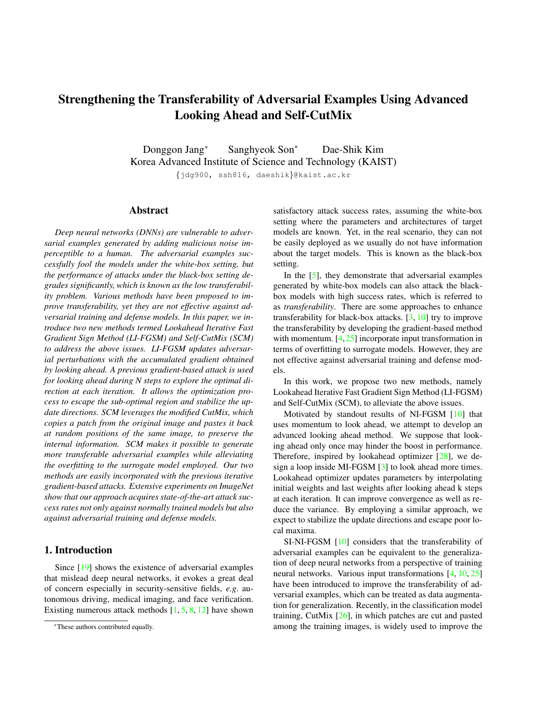# Strengthening the Transferability of Adversarial Examples Using Advanced Looking Ahead and Self-CutMix

Donggon Jang\* Sanghyeok Son<sup>∗</sup> Dae-Shik Kim Korea Advanced Institute of Science and Technology (KAIST) {jdg900, ssh816, daeshik}@kaist.ac.kr

#### Abstract

*Deep neural networks (DNNs) are vulnerable to adversarial examples generated by adding malicious noise imperceptible to a human. The adversarial examples successfully fool the models under the white-box setting, but the performance of attacks under the black-box setting degrades significantly, which is known as the low transferability problem. Various methods have been proposed to improve transferability, yet they are not effective against adversarial training and defense models. In this paper, we introduce two new methods termed Lookahead Iterative Fast Gradient Sign Method (LI-FGSM) and Self-CutMix (SCM) to address the above issues. LI-FGSM updates adversarial perturbations with the accumulated gradient obtained by looking ahead. A previous gradient-based attack is used for looking ahead during N steps to explore the optimal direction at each iteration. It allows the optimization process to escape the sub-optimal region and stabilize the update directions. SCM leverages the modified CutMix, which copies a patch from the original image and pastes it back at random positions of the same image, to preserve the internal information. SCM makes it possible to generate more transferable adversarial examples while alleviating the overfitting to the surrogate model employed. Our two methods are easily incorporated with the previous iterative gradient-based attacks. Extensive experiments on ImageNet show that our approach acquires state-of-the-art attack success rates not only against normally trained models but also against adversarial training and defense models.*

## 1. Introduction

Since [19] shows the existence of adversarial examples that mislead deep neural networks, it evokes a great deal of concern especially in security-sensitive fields, *e.g*. autonomous driving, medical imaging, and face verification. Existing numerous attack methods  $[1, 5, 8, 12]$  have shown satisfactory attack success rates, assuming the white-box setting where the parameters and architectures of target models are known. Yet, in the real scenario, they can not be easily deployed as we usually do not have information about the target models. This is known as the black-box setting.

In the [5], they demonstrate that adversarial examples generated by white-box models can also attack the blackbox models with high success rates, which is referred to as *transferability*. There are some approaches to enhance transferability for black-box attacks. [3, 10] try to improve the transferability by developing the gradient-based method with momentum. [4,25] incorporate input transformation in terms of overfitting to surrogate models. However, they are not effective against adversarial training and defense models.

In this work, we propose two new methods, namely Lookahead Iterative Fast Gradient Sign Method (LI-FGSM) and Self-CutMix (SCM), to alleviate the above issues.

Motivated by standout results of NI-FGSM [10] that uses momentum to look ahead, we attempt to develop an advanced looking ahead method. We suppose that looking ahead only once may hinder the boost in performance. Therefore, inspired by lookahead optimizer [28], we design a loop inside MI-FGSM [3] to look ahead more times. Lookahead optimizer updates parameters by interpolating initial weights and last weights after looking ahead k steps at each iteration. It can improve convergence as well as reduce the variance. By employing a similar approach, we expect to stabilize the update directions and escape poor local maxima.

SI-NI-FGSM [10] considers that the transferability of adversarial examples can be equivalent to the generalization of deep neural networks from a perspective of training neural networks. Various input transformations [4, 10, 25] have been introduced to improve the transferability of adversarial examples, which can be treated as data augmentation for generalization. Recently, in the classification model training, CutMix [26], in which patches are cut and pasted among the training images, is widely used to improve the

<sup>\*</sup>These authors contributed equally.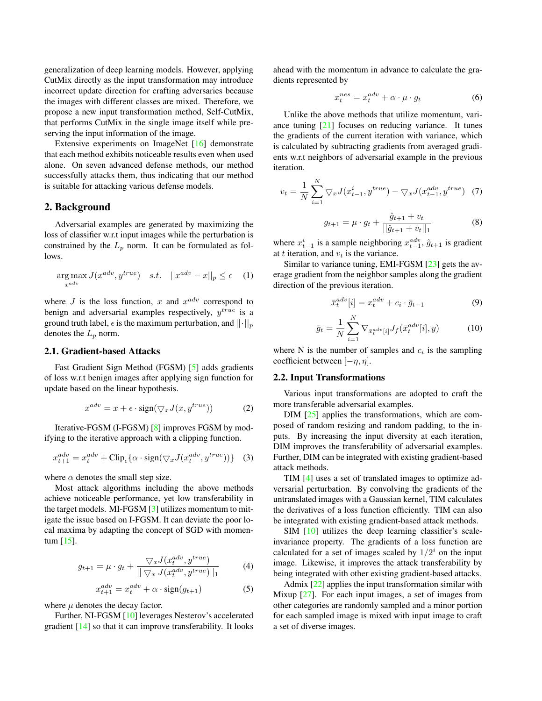generalization of deep learning models. However, applying CutMix directly as the input transformation may introduce incorrect update direction for crafting adversaries because the images with different classes are mixed. Therefore, we propose a new input transformation method, Self-CutMix, that performs CutMix in the single image itself while preserving the input information of the image.

Extensive experiments on ImageNet [16] demonstrate that each method exhibits noticeable results even when used alone. On seven advanced defense methods, our method successfully attacks them, thus indicating that our method is suitable for attacking various defense models.

#### 2. Background

Adversarial examples are generated by maximizing the loss of classifier w.r.t input images while the perturbation is constrained by the  $L_p$  norm. It can be formulated as follows.

$$
\underset{x^{adv}}{\arg \max} J(x^{adv}, y^{true}) \quad s.t. \quad ||x^{adv} - x||_p \le \epsilon \quad (1)
$$

where  $J$  is the loss function,  $x$  and  $x^{adv}$  correspond to benign and adversarial examples respectively,  $y^{true}$  is a ground truth label,  $\epsilon$  is the maximum perturbation, and  $||\cdot||_p$ denotes the  $L_p$  norm.

## 2.1. Gradient-based Attacks

Fast Gradient Sign Method (FGSM) [5] adds gradients of loss w.r.t benign images after applying sign function for update based on the linear hypothesis.

$$
x^{adv} = x + \epsilon \cdot \text{sign}(\bigtriangledown_x J(x, y^{true})) \tag{2}
$$

Iterative-FGSM (I-FGSM) [8] improves FGSM by modifying to the iterative approach with a clipping function.

$$
x_{t+1}^{adv} = x_t^{adv} + \text{Clip}_{\epsilon}\{\alpha \cdot \text{sign}(\bigtriangledown_x J(x_t^{adv}, y^{true}))\} \quad (3)
$$

where  $\alpha$  denotes the small step size.

Most attack algorithms including the above methods achieve noticeable performance, yet low transferability in the target models. MI-FGSM [3] utilizes momentum to mitigate the issue based on I-FGSM. It can deviate the poor local maxima by adapting the concept of SGD with momentum [15].

$$
g_{t+1} = \mu \cdot g_t + \frac{\nabla_x J(x_t^{adv}, y^{true})}{\|\nabla_x J(x_t^{adv}, y^{true})\|_1}
$$
(4)

$$
x_{t+1}^{adv} = x_t^{adv} + \alpha \cdot \text{sign}(g_{t+1})
$$
 (5)

where  $\mu$  denotes the decay factor.

Further, NI-FGSM [10] leverages Nesterov's accelerated gradient [14] so that it can improve transferability. It looks

ahead with the momentum in advance to calculate the gradients represented by

$$
x_t^{nes} = x_t^{adv} + \alpha \cdot \mu \cdot g_t \tag{6}
$$

Unlike the above methods that utilize momentum, variance tuning [21] focuses on reducing variance. It tunes the gradients of the current iteration with variance, which is calculated by subtracting gradients from averaged gradients w.r.t neighbors of adversarial example in the previous iteration.

$$
v_t = \frac{1}{N} \sum_{i=1}^{N} \nabla_x J(x_{t-1}^i, y^{true}) - \nabla_x J(x_{t-1}^{adv}, y^{true}) \tag{7}
$$

$$
g_{t+1} = \mu \cdot g_t + \frac{\hat{g}_{t+1} + v_t}{||\hat{g}_{t+1} + v_t||_1} \tag{8}
$$

where  $x_{t-1}^i$  is a sample neighboring  $x_{t-1}^{adv}$ ,  $\hat{g}_{t+1}$  is gradient at t iteration, and  $v_t$  is the variance.

Similar to variance tuning, EMI-FGSM [23] gets the average gradient from the neighbor samples along the gradient direction of the previous iteration.

$$
\bar{x}_t^{adv}[i] = x_t^{adv} + c_i \cdot \bar{g}_{t-1} \tag{9}
$$

$$
\bar{g}_t = \frac{1}{N} \sum_{i=1}^{N} \nabla_{\bar{x}_t^{adv}[i]} J_f(\bar{x}_t^{adv}[i], y)
$$
(10)

where N is the number of samples and  $c_i$  is the sampling coefficient between  $[-\eta, \eta]$ .

#### 2.2. Input Transformations

Various input transformations are adopted to craft the more transferable adversarial examples.

DIM [25] applies the transformations, which are composed of random resizing and random padding, to the inputs. By increasing the input diversity at each iteration, DIM improves the transferability of adversarial examples. Further, DIM can be integrated with existing gradient-based attack methods.

TIM [4] uses a set of translated images to optimize adversarial perturbation. By convolving the gradients of the untranslated images with a Gaussian kernel, TIM calculates the derivatives of a loss function efficiently. TIM can also be integrated with existing gradient-based attack methods.

SIM [10] utilizes the deep learning classifier's scaleinvariance property. The gradients of a loss function are calculated for a set of images scaled by  $1/2<sup>i</sup>$  on the input image. Likewise, it improves the attack transferability by being integrated with other existing gradient-based attacks.

Admix [22] applies the input transformation similar with Mixup [27]. For each input images, a set of images from other categories are randomly sampled and a minor portion for each sampled image is mixed with input image to craft a set of diverse images.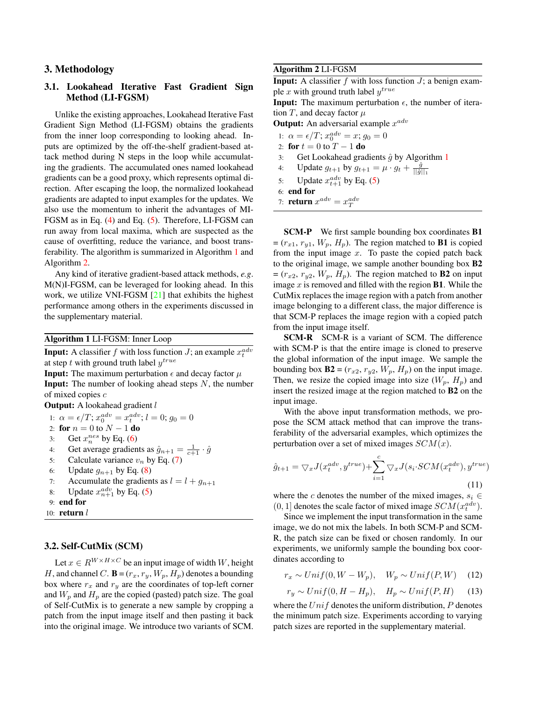## 3. Methodology

## 3.1. Lookahead Iterative Fast Gradient Sign Method (LI-FGSM)

Unlike the existing approaches, Lookahead Iterative Fast Gradient Sign Method (LI-FGSM) obtains the gradients from the inner loop corresponding to looking ahead. Inputs are optimized by the off-the-shelf gradient-based attack method during N steps in the loop while accumulating the gradients. The accumulated ones named lookahead gradients can be a good proxy, which represents optimal direction. After escaping the loop, the normalized lookahead gradients are adapted to input examples for the updates. We also use the momentum to inherit the advantages of MI-FGSM as in Eq. (4) and Eq. (5). Therefore, LI-FGSM can run away from local maxima, which are suspected as the cause of overfitting, reduce the variance, and boost transferability. The algorithm is summarized in Algorithm 1 and Algorithm 2.

Any kind of iterative gradient-based attack methods, *e.g*. M(N)I-FGSM, can be leveraged for looking ahead. In this work, we utilize VNI-FGSM [21] that exhibits the highest performance among others in the experiments discussed in the supplementary material.

Algorithm 1 LI-FGSM: Inner Loop

**Input:** A classifier f with loss function J; an example  $x_t^{adv}$ at step t with ground truth label  $y^{true}$ 

**Input:** The maximum perturbation  $\epsilon$  and decay factor  $\mu$ **Input:** The number of looking ahead steps  $N$ , the number of mixed copies c

**Output:** A lookahead gradient l

1:  $\alpha = \epsilon/T$ ;  $x_0^{adv} = x_t^{adv}$ ;  $l = 0$ ;  $g_0 = 0$ 2: for  $n = 0$  to  $N - 1$  do 3: Get  $x_n^{nes}$  by Eq. (6) 4: Get average gradients as  $\hat{g}_{n+1} = \frac{1}{c+1} \cdot \hat{g}$ 5: Calculate variance  $v_n$  by Eq. (7) 6: Update  $g_{n+1}$  by Eq. (8) 7: Accumulate the gradients as  $l = l + g_{n+1}$ 8: Update  $x_{n+1}^{adv}$  by Eq. (5) 9: end for

10:  $return *l*$ 

## 3.2. Self-CutMix (SCM)

Let  $x \in R^{W \times H \times C}$  be an input image of width W, height H, and channel C.  $\mathbf{B} = (r_x, r_y, W_p, H_p)$  denotes a bounding box where  $r_x$  and  $r_y$  are the coordinates of top-left corner and  $W_p$  and  $H_p$  are the copied (pasted) patch size. The goal of Self-CutMix is to generate a new sample by cropping a patch from the input image itself and then pasting it back into the original image. We introduce two variants of SCM.

#### Algorithm 2 LI-FGSM

**Input:** A classifier f with loss function  $J$ ; a benign example x with ground truth label  $y^{true}$ 

**Input:** The maximum perturbation  $\epsilon$ , the number of iteration T, and decay factor  $\mu$ 

**Output:** An adversarial example  $x^{adv}$ 

1:  $\alpha = \epsilon/T; x_0^{adv} = x; g_0 = 0$ 

- 2: for  $t = 0$  to  $T 1$  do
- 3: Get Lookahead gradients  $\hat{g}$  by Algorithm 1
- 4: Update  $g_{t+1}$  by  $g_{t+1} = \mu \cdot g_t + \frac{\hat{g}}{||\hat{g}||_1}$
- 5: Update  $x_{t+1}^{adv}$  by Eq. (5)
- 6: end for
- 7: **return**  $x^{adv} = x_T^{adv}$

**SCM-P** We first sample bounding box coordinates **B1**  $=(r_{x1}, r_{y1}, W_p, H_p)$ . The region matched to **B1** is copied from the input image  $x$ . To paste the copied patch back to the original image, we sample another bounding box B2  $=(r_{x2}, r_{y2}, W_p, H_p)$ . The region matched to **B2** on input image  $x$  is removed and filled with the region **B1**. While the CutMix replaces the image region with a patch from another image belonging to a different class, the major difference is that SCM-P replaces the image region with a copied patch from the input image itself.

SCM-R SCM-R is a variant of SCM. The difference with SCM-P is that the entire image is cloned to preserve the global information of the input image. We sample the bounding box  $\mathbf{B2} = (r_{x2}, r_{y2}, W_p, H_p)$  on the input image. Then, we resize the copied image into size  $(W_p, H_p)$  and insert the resized image at the region matched to B2 on the input image.

With the above input transformation methods, we propose the SCM attack method that can improve the transferability of the adversarial examples, which optimizes the perturbation over a set of mixed images  $SCM(x)$ .

$$
\hat{g}_{t+1} = \nabla_x J(x_t^{adv}, y^{true}) + \sum_{i=1}^{c} \nabla_x J(s_i \cdot SCM(x_t^{adv}), y^{true})
$$
\n(11)

where the c denotes the number of the mixed images,  $s_i \in$  $(0,1]$  denotes the scale factor of mixed image  $SCM(x^{adv}_{t}).$ 

Since we implement the input transformation in the same image, we do not mix the labels. In both SCM-P and SCM-R, the patch size can be fixed or chosen randomly. In our experiments, we uniformly sample the bounding box coordinates according to

$$
r_x \sim Unif(0, W - W_p), \quad W_p \sim Unif(P, W) \tag{12}
$$

$$
r_y \sim Unif(0, H - H_p), \quad H_p \sim Unif(P, H) \tag{13}
$$

where the  $Unif$  denotes the uniform distribution,  $P$  denotes the minimum patch size. Experiments according to varying patch sizes are reported in the supplementary material.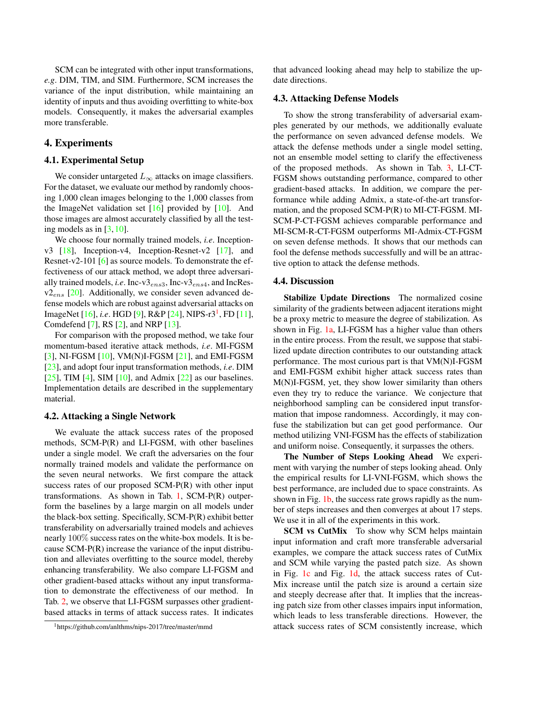SCM can be integrated with other input transformations, *e.g*. DIM, TIM, and SIM. Furthermore, SCM increases the variance of the input distribution, while maintaining an identity of inputs and thus avoiding overfitting to white-box models. Consequently, it makes the adversarial examples more transferable.

## 4. Experiments

#### 4.1. Experimental Setup

We consider untargeted  $L_{\infty}$  attacks on image classifiers. For the dataset, we evaluate our method by randomly choosing 1,000 clean images belonging to the 1,000 classes from the ImageNet validation set  $[16]$  provided by  $[10]$ . And those images are almost accurately classified by all the testing models as in  $[3, 10]$ .

We choose four normally trained models, *i.e*. Inceptionv3 [18], Inception-v4, Inception-Resnet-v2 [17], and Resnet-v2-101 [6] as source models. To demonstrate the effectiveness of our attack method, we adopt three adversarially trained models, *i.e*. Inc-v3ens3, Inc-v3ens4, and IncRes $v2_{ens}$  [20]. Additionally, we consider seven advanced defense models which are robust against adversarial attacks on ImageNet [16], *i.e*. HGD [9], R&P [24], NIPS-r3<sup>1</sup>, FD [11], Comdefend [7], RS [2], and NRP [13].

For comparison with the proposed method, we take four momentum-based iterative attack methods, *i.e*. MI-FGSM [3], NI-FGSM [10], VM(N)I-FGSM [21], and EMI-FGSM [23], and adopt four input transformation methods, *i.e*. DIM [25], TIM [4], SIM [10], and Admix [22] as our baselines. Implementation details are described in the supplementary material.

#### 4.2. Attacking a Single Network

We evaluate the attack success rates of the proposed methods, SCM-P(R) and LI-FGSM, with other baselines under a single model. We craft the adversaries on the four normally trained models and validate the performance on the seven neural networks. We first compare the attack success rates of our proposed SCM-P(R) with other input transformations. As shown in Tab.  $1$ , SCM-P(R) outperform the baselines by a large margin on all models under the black-box setting. Specifically, SCM-P(R) exhibit better transferability on adversarially trained models and achieves nearly 100% success rates on the white-box models. It is because SCM-P(R) increase the variance of the input distribution and alleviates overfitting to the source model, thereby enhancing transferability. We also compare LI-FGSM and other gradient-based attacks without any input transformation to demonstrate the effectiveness of our method. In Tab. 2, we observe that LI-FGSM surpasses other gradientbased attacks in terms of attack success rates. It indicates

that advanced looking ahead may help to stabilize the update directions.

#### 4.3. Attacking Defense Models

To show the strong transferability of adversarial examples generated by our methods, we additionally evaluate the performance on seven advanced defense models. We attack the defense methods under a single model setting, not an ensemble model setting to clarify the effectiveness of the proposed methods. As shown in Tab. 3, LI-CT-FGSM shows outstanding performance, compared to other gradient-based attacks. In addition, we compare the performance while adding Admix, a state-of-the-art transformation, and the proposed SCM-P(R) to MI-CT-FGSM. MI-SCM-P-CT-FGSM achieves comparable performance and MI-SCM-R-CT-FGSM outperforms MI-Admix-CT-FGSM on seven defense methods. It shows that our methods can fool the defense methods successfully and will be an attractive option to attack the defense methods.

#### 4.4. Discussion

Stabilize Update Directions The normalized cosine similarity of the gradients between adjacent iterations might be a proxy metric to measure the degree of stabilization. As shown in Fig. 1a, LI-FGSM has a higher value than others in the entire process. From the result, we suppose that stabilized update direction contributes to our outstanding attack performance. The most curious part is that VM(N)I-FGSM and EMI-FGSM exhibit higher attack success rates than M(N)I-FGSM, yet, they show lower similarity than others even they try to reduce the variance. We conjecture that neighborhood sampling can be considered input transformation that impose randomness. Accordingly, it may confuse the stabilization but can get good performance. Our method utilizing VNI-FGSM has the effects of stabilization and uniform noise. Consequently, it surpasses the others.

The Number of Steps Looking Ahead We experiment with varying the number of steps looking ahead. Only the empirical results for LI-VNI-FGSM, which shows the best performance, are included due to space constraints. As shown in Fig. 1b, the success rate grows rapidly as the number of steps increases and then converges at about 17 steps. We use it in all of the experiments in this work.

SCM vs CutMix To show why SCM helps maintain input information and craft more transferable adversarial examples, we compare the attack success rates of CutMix and SCM while varying the pasted patch size. As shown in Fig. 1c and Fig. 1d, the attack success rates of Cut-Mix increase until the patch size is around a certain size and steeply decrease after that. It implies that the increasing patch size from other classes impairs input information, which leads to less transferable directions. However, the attack success rates of SCM consistently increase, which

<sup>1</sup>https://github.com/anlthms/nips-2017/tree/master/mmd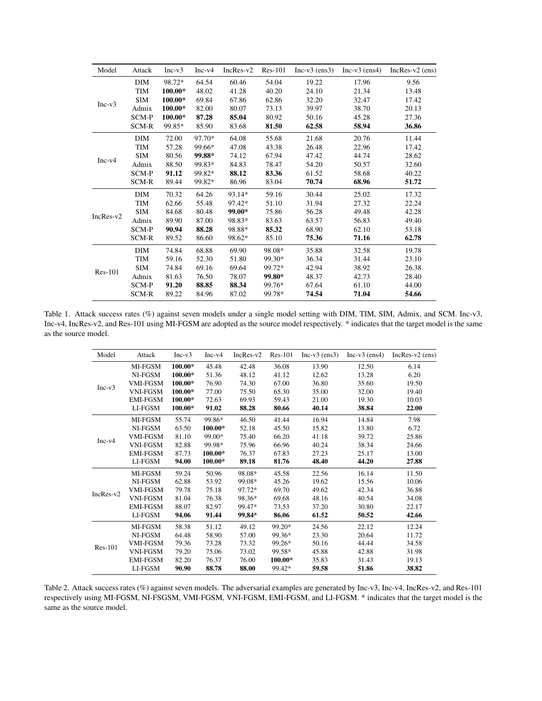| Model       | Attack     | $Inc-v3$ | $Inc-v4$ | $IncRes-v2$ | $Res-101$ | $Inc-v3$ (ens3) | $Inc-v3$ (ens4) | $IncRes-v2$ (ens) |
|-------------|------------|----------|----------|-------------|-----------|-----------------|-----------------|-------------------|
| $Inc-v3$    | DIM        | 98.72*   | 64.54    | 60.46       | 54.04     | 19.22           | 17.96           | 9.56              |
|             | <b>TIM</b> | 100.00*  | 48.02    | 41.28       | 40.20     | 24.10           | 21.34           | 13.48             |
|             | <b>SIM</b> | 100.00*  | 69.84    | 67.86       | 62.86     | 32.20           | 32.47           | 17.42             |
|             | Admix      | 100.00*  | 82.00    | 80.07       | 73.13     | 39.97           | 38.70           | 20.13             |
|             | SCM-P      | 100.00*  | 87.28    | 85.04       | 80.92     | 50.16           | 45.28           | 27.36             |
|             | SCM-R      | 99.85*   | 85.90    | 83.68       | 81.50     | 62.58           | 58.94           | 36.86             |
| $Inc-v4$    | <b>DIM</b> | 72.00    | 97.70*   | 64.08       | 55.68     | 21.68           | 20.76           | 11.44             |
|             | TIM        | 57.28    | 99.66*   | 47.08       | 43.38     | 26.48           | 22.96           | 17.42             |
|             | <b>SIM</b> | 80.56    | 99.88*   | 74.12       | 67.94     | 47.42           | 44.74           | 28.62             |
|             | Admix      | 88.50    | 99.83*   | 84.83       | 78.47     | 54.20           | 50.57           | 32.60             |
|             | SCM-P      | 91.12    | 99.82*   | 88.12       | 83.36     | 61.52           | 58.68           | 40.22             |
|             | SCM-R      | 89.44    | 99.82*   | 86.96       | 83.04     | 70.74           | 68.96           | 51.72             |
| $IncRes-v2$ | <b>DIM</b> | 70.32    | 64.26    | 93.14*      | 59.16     | 30.44           | 25.02           | 17.32             |
|             | <b>TIM</b> | 62.66    | 55.48    | 97.42*      | 51.10     | 31.94           | 27.32           | 22.24             |
|             | <b>SIM</b> | 84.68    | 80.48    | 99.00*      | 75.86     | 56.28           | 49.48           | 42.28             |
|             | Admix      | 89.90    | 87.00    | 98.83*      | 83.63     | 63.57           | 56.83           | 49.40             |
|             | SCM-P      | 90.94    | 88.28    | 98.88*      | 85.32     | 68.90           | 62.10           | 53.18             |
|             | SCM-R      | 89.52    | 86.60    | 98.62*      | 85.10     | 75.36           | 71.16           | 62.78             |
| $Res-101$   | <b>DIM</b> | 74.84    | 68.88    | 69.90       | 98.08*    | 35.88           | 32.58           | 19.78             |
|             | TIM        | 59.16    | 52.30    | 51.80       | 99.30*    | 36.34           | 31.44           | 23.10             |
|             | <b>SIM</b> | 74.84    | 69.16    | 69.64       | 99.72*    | 42.94           | 38.92           | 26.38             |
|             | Admix      | 81.63    | 76.50    | 78.07       | 99.80*    | 48.37           | 42.73           | 28.40             |
|             | SCM-P      | 91.20    | 88.85    | 88.34       | 99.76*    | 67.64           | 61.10           | 44.00             |
|             | SCM-R      | 89.22    | 84.96    | 87.02       | 99.78*    | 74.54           | 71.04           | 54.66             |

Table 1. Attack success rates (%) against seven models under a single model setting with DIM, TIM, SIM, Admix, and SCM. Inc-v3, Inc-v4, IncRes-v2, and Res-101 using MI-FGSM are adopted as the source model respectively. \* indicates that the target model is the same as the source model.

| Model       | Attack          | $Inc-v3$  | $Inc-v4$ | $IncRes-v2$ | $Res-101$ | $Inc-v3$ (ens3) | $Inc-v3$ (ens4) | $IncRes-v2$ (ens) |
|-------------|-----------------|-----------|----------|-------------|-----------|-----------------|-----------------|-------------------|
| $Inc-v3$    | MI-FGSM         | 100.00*   | 45.48    | 42.48       | 36.08     | 13.90           | 12.50           | 6.14              |
|             | NI-FGSM         | $100.00*$ | 51.36    | 48.12       | 41.12     | 12.62           | 13.28           | 6.20              |
|             | <b>VMI-FGSM</b> | 100.00*   | 76.90    | 74.30       | 67.00     | 36.80           | 35.60           | 19.50             |
|             | <b>VNI-FGSM</b> | 100.00*   | 77.00    | 75.50       | 65.30     | 35.00           | 32.00           | 19.40             |
|             | <b>EMI-FGSM</b> | 100.00*   | 72.63    | 69.93       | 59.43     | 21.00           | 19.30           | 10.03             |
|             | LI-FGSM         | 100.00*   | 91.02    | 88.28       | 80.66     | 40.14           | 38.84           | 22.00             |
| $Inc-v4$    | MI-FGSM         | 55.74     | 99.86*   | 46.50       | 41.44     | 16.94           | 14.84           | 7.98              |
|             | NI-FGSM         | 63.50     | 100.00*  | 52.18       | 45.50     | 15.82           | 13.80           | 6.72              |
|             | <b>VMI-FGSM</b> | 81.10     | 99.00*   | 75.40       | 66.20     | 41.18           | 39.72           | 25.86             |
|             | <b>VNI-FGSM</b> | 82.88     | 99.98*   | 75.96       | 66.96     | 40.24           | 38.34           | 24.66             |
|             | <b>EMI-FGSM</b> | 87.73     | 100.00*  | 76.37       | 67.83     | 27.23           | 25.17           | 13.00             |
|             | LI-FGSM         | 94.00     | 100.00*  | 89.18       | 81.76     | 48.40           | 44.20           | 27.88             |
| $IncRes-v2$ | MI-FGSM         | 59.24     | 50.96    | 98.08*      | 45.58     | 22.56           | 16.14           | 11.50             |
|             | NI-FGSM         | 62.88     | 53.92    | 99.08*      | 45.26     | 19.62           | 15.56           | 10.06             |
|             | <b>VMI-FGSM</b> | 79.78     | 75.18    | 97.72*      | 69.70     | 49.62           | 42.34           | 36.88             |
|             | <b>VNI-FGSM</b> | 81.04     | 76.38    | 98.36*      | 69.68     | 48.16           | 40.54           | 34.08             |
|             | <b>EMI-FGSM</b> | 88.07     | 82.97    | 99.47*      | 73.53     | 37.20           | 30.80           | 22.17             |
|             | LI-FGSM         | 94.06     | 91.44    | 99.84*      | 86.06     | 61.52           | 50.52           | 42.66             |
| $Res-101$   | MI-FGSM         | 58.38     | 51.12    | 49.12       | 99.20*    | 24.56           | 22.12           | 12.24             |
|             | NI-FGSM         | 64.48     | 58.90    | 57.00       | 99.36*    | 23.30           | 20.64           | 11.72             |
|             | <b>VMI-FGSM</b> | 79.36     | 73.28    | 73.32       | 99.26*    | 50.16           | 44.44           | 34.58             |
|             | <b>VNI-FGSM</b> | 79.20     | 75.06    | 73.02       | 99.58*    | 45.88           | 42.88           | 31.98             |
|             | <b>EMI-FGSM</b> | 82.20     | 76.37    | 76.00       | 100.00*   | 35.83           | 31.43           | 19.13             |
|             | LI-FGSM         | 90.90     | 88.78    | 88.00       | 99.42*    | 59.58           | 51.86           | 38.82             |

Table 2. Attack success rates (%) against seven models. The adversarial examples are generated by Inc-v3, Inc-v4, IncRes-v2, and Res-101 respectively using MI-FGSM, NI-FSGSM, VMI-FGSM, VNI-FGSM, EMI-FGSM, and LI-FGSM. \* indicates that the target model is the same as the source model.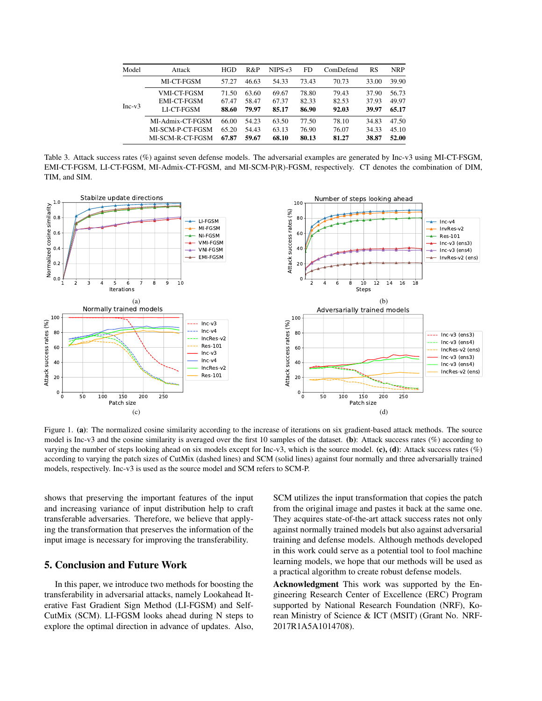| Model    | Attack           | <b>HGD</b> | R&P   | NIPS-r3 | FD.   | ComDefend | RS    | <b>NRP</b> |
|----------|------------------|------------|-------|---------|-------|-----------|-------|------------|
| $Inc-v3$ | MI-CT-FGSM       | 57.27      | 46.63 | 54.33   | 73.43 | 70.73     | 33.00 | 39.90      |
|          | VMI-CT-FGSM      | 71.50      | 63.60 | 69.67   | 78.80 | 79.43     | 37.90 | 56.73      |
|          | EMI-CT-FGSM      | 67.47      | 58.47 | 67.37   | 82.33 | 82.53     | 37.93 | 49.97      |
|          | LI-CT-FGSM       | 88.60      | 79.97 | 85.17   | 86.90 | 92.03     | 39.97 | 65.17      |
|          | MI-Admix-CT-FGSM | 66.00      | 54.23 | 63.50   | 77.50 | 78.10     | 34.83 | 47.50      |
|          | MI-SCM-P-CT-FGSM | 65.20      | 54.43 | 63.13   | 76.90 | 76.07     | 34.33 | 45.10      |
|          | MI-SCM-R-CT-FGSM | 67.87      | 59.67 | 68.10   | 80.13 | 81.27     | 38.87 | 52.00      |

Table 3. Attack success rates (%) against seven defense models. The adversarial examples are generated by Inc-v3 using MI-CT-FSGM, EMI-CT-FGSM, LI-CT-FGSM, MI-Admix-CT-FGSM, and MI-SCM-P(R)-FGSM, respectively. CT denotes the combination of DIM, TIM, and SIM.



Figure 1. (a): The normalized cosine similarity according to the increase of iterations on six gradient-based attack methods. The source model is Inc-v3 and the cosine similarity is averaged over the first 10 samples of the dataset. (b): Attack success rates  $(\%)$  according to varying the number of steps looking ahead on six models except for Inc-v3, which is the source model. (c), (d): Attack success rates  $(\%)$ according to varying the patch sizes of CutMix (dashed lines) and SCM (solid lines) against four normally and three adversarially trained models, respectively. Inc-v3 is used as the source model and SCM refers to SCM-P.

shows that preserving the important features of the input and increasing variance of input distribution help to craft transferable adversaries. Therefore, we believe that applying the transformation that preserves the information of the input image is necessary for improving the transferability.

## 5. Conclusion and Future Work

In this paper, we introduce two methods for boosting the transferability in adversarial attacks, namely Lookahead Iterative Fast Gradient Sign Method (LI-FGSM) and Self-CutMix (SCM). LI-FGSM looks ahead during N steps to explore the optimal direction in advance of updates. Also, SCM utilizes the input transformation that copies the patch from the original image and pastes it back at the same one. They acquires state-of-the-art attack success rates not only against normally trained models but also against adversarial training and defense models. Although methods developed in this work could serve as a potential tool to fool machine learning models, we hope that our methods will be used as a practical algorithm to create robust defense models.

Acknowledgment This work was supported by the Engineering Research Center of Excellence (ERC) Program supported by National Research Foundation (NRF), Korean Ministry of Science & ICT (MSIT) (Grant No. NRF-2017R1A5A1014708).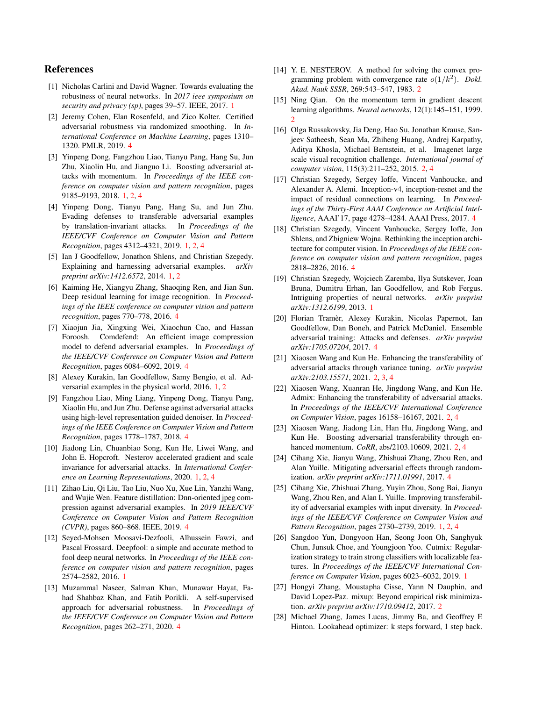## References

- [1] Nicholas Carlini and David Wagner. Towards evaluating the robustness of neural networks. In *2017 ieee symposium on security and privacy (sp)*, pages 39–57. IEEE, 2017. 1
- [2] Jeremy Cohen, Elan Rosenfeld, and Zico Kolter. Certified adversarial robustness via randomized smoothing. In *International Conference on Machine Learning*, pages 1310– 1320. PMLR, 2019. 4
- [3] Yinpeng Dong, Fangzhou Liao, Tianyu Pang, Hang Su, Jun Zhu, Xiaolin Hu, and Jianguo Li. Boosting adversarial attacks with momentum. In *Proceedings of the IEEE conference on computer vision and pattern recognition*, pages 9185–9193, 2018. 1, 2, 4
- [4] Yinpeng Dong, Tianyu Pang, Hang Su, and Jun Zhu. Evading defenses to transferable adversarial examples by translation-invariant attacks. In *Proceedings of the IEEE/CVF Conference on Computer Vision and Pattern Recognition*, pages 4312–4321, 2019. 1, 2, 4
- [5] Ian J Goodfellow, Jonathon Shlens, and Christian Szegedy. Explaining and harnessing adversarial examples. *arXiv preprint arXiv:1412.6572*, 2014. 1, 2
- [6] Kaiming He, Xiangyu Zhang, Shaoqing Ren, and Jian Sun. Deep residual learning for image recognition. In *Proceedings of the IEEE conference on computer vision and pattern recognition*, pages 770–778, 2016. 4
- [7] Xiaojun Jia, Xingxing Wei, Xiaochun Cao, and Hassan Foroosh. Comdefend: An efficient image compression model to defend adversarial examples. In *Proceedings of the IEEE/CVF Conference on Computer Vision and Pattern Recognition*, pages 6084–6092, 2019. 4
- [8] Alexey Kurakin, Ian Goodfellow, Samy Bengio, et al. Adversarial examples in the physical world, 2016. 1, 2
- [9] Fangzhou Liao, Ming Liang, Yinpeng Dong, Tianyu Pang, Xiaolin Hu, and Jun Zhu. Defense against adversarial attacks using high-level representation guided denoiser. In *Proceedings of the IEEE Conference on Computer Vision and Pattern Recognition*, pages 1778–1787, 2018. 4
- [10] Jiadong Lin, Chuanbiao Song, Kun He, Liwei Wang, and John E. Hopcroft. Nesterov accelerated gradient and scale invariance for adversarial attacks. In *International Conference on Learning Representations*, 2020. 1, 2, 4
- [11] Zihao Liu, Qi Liu, Tao Liu, Nuo Xu, Xue Lin, Yanzhi Wang, and Wujie Wen. Feature distillation: Dnn-oriented jpeg compression against adversarial examples. In *2019 IEEE/CVF Conference on Computer Vision and Pattern Recognition (CVPR)*, pages 860–868. IEEE, 2019. 4
- [12] Seyed-Mohsen Moosavi-Dezfooli, Alhussein Fawzi, and Pascal Frossard. Deepfool: a simple and accurate method to fool deep neural networks. In *Proceedings of the IEEE conference on computer vision and pattern recognition*, pages 2574–2582, 2016. 1
- [13] Muzammal Naseer, Salman Khan, Munawar Hayat, Fahad Shahbaz Khan, and Fatih Porikli. A self-supervised approach for adversarial robustness. In *Proceedings of the IEEE/CVF Conference on Computer Vision and Pattern Recognition*, pages 262–271, 2020. 4
- [14] Y. E. NESTEROV. A method for solving the convex programming problem with convergence rate  $o(1/k^2)$ . *Dokl. Akad. Nauk SSSR*, 269:543–547, 1983. 2
- [15] Ning Qian. On the momentum term in gradient descent learning algorithms. *Neural networks*, 12(1):145–151, 1999. 2
- [16] Olga Russakovsky, Jia Deng, Hao Su, Jonathan Krause, Sanjeev Satheesh, Sean Ma, Zhiheng Huang, Andrej Karpathy, Aditya Khosla, Michael Bernstein, et al. Imagenet large scale visual recognition challenge. *International journal of computer vision*, 115(3):211–252, 2015. 2, 4
- [17] Christian Szegedy, Sergey Ioffe, Vincent Vanhoucke, and Alexander A. Alemi. Inception-v4, inception-resnet and the impact of residual connections on learning. In *Proceedings of the Thirty-First AAAI Conference on Artificial Intelligence*, AAAI'17, page 4278–4284. AAAI Press, 2017. 4
- [18] Christian Szegedy, Vincent Vanhoucke, Sergey Ioffe, Jon Shlens, and Zbigniew Wojna. Rethinking the inception architecture for computer vision. In *Proceedings of the IEEE conference on computer vision and pattern recognition*, pages 2818–2826, 2016. 4
- [19] Christian Szegedy, Wojciech Zaremba, Ilya Sutskever, Joan Bruna, Dumitru Erhan, Ian Goodfellow, and Rob Fergus. Intriguing properties of neural networks. *arXiv preprint arXiv:1312.6199*, 2013. 1
- [20] Florian Tramèr, Alexey Kurakin, Nicolas Papernot, Ian Goodfellow, Dan Boneh, and Patrick McDaniel. Ensemble adversarial training: Attacks and defenses. *arXiv preprint arXiv:1705.07204*, 2017. 4
- [21] Xiaosen Wang and Kun He. Enhancing the transferability of adversarial attacks through variance tuning. *arXiv preprint arXiv:2103.15571*, 2021. 2, 3, 4
- [22] Xiaosen Wang, Xuanran He, Jingdong Wang, and Kun He. Admix: Enhancing the transferability of adversarial attacks. In *Proceedings of the IEEE/CVF International Conference on Computer Vision*, pages 16158–16167, 2021. 2, 4
- [23] Xiaosen Wang, Jiadong Lin, Han Hu, Jingdong Wang, and Kun He. Boosting adversarial transferability through enhanced momentum. *CoRR*, abs/2103.10609, 2021. 2, 4
- [24] Cihang Xie, Jianyu Wang, Zhishuai Zhang, Zhou Ren, and Alan Yuille. Mitigating adversarial effects through randomization. *arXiv preprint arXiv:1711.01991*, 2017. 4
- [25] Cihang Xie, Zhishuai Zhang, Yuyin Zhou, Song Bai, Jianyu Wang, Zhou Ren, and Alan L Yuille. Improving transferability of adversarial examples with input diversity. In *Proceedings of the IEEE/CVF Conference on Computer Vision and Pattern Recognition*, pages 2730–2739, 2019. 1, 2, 4
- [26] Sangdoo Yun, Dongyoon Han, Seong Joon Oh, Sanghyuk Chun, Junsuk Choe, and Youngjoon Yoo. Cutmix: Regularization strategy to train strong classifiers with localizable features. In *Proceedings of the IEEE/CVF International Conference on Computer Vision*, pages 6023–6032, 2019. 1
- [27] Hongyi Zhang, Moustapha Cisse, Yann N Dauphin, and David Lopez-Paz. mixup: Beyond empirical risk minimization. *arXiv preprint arXiv:1710.09412*, 2017. 2
- [28] Michael Zhang, James Lucas, Jimmy Ba, and Geoffrey E Hinton. Lookahead optimizer: k steps forward, 1 step back.